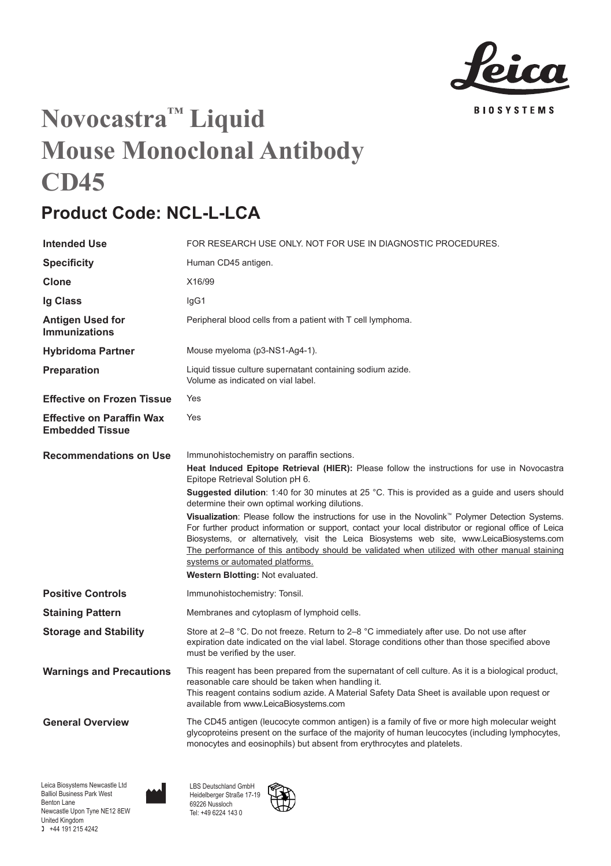

## **Novocastra™ Liquid Mouse Monoclonal Antibody CD45**

## **Product Code: NCL-L-LCA**

| <b>Intended Use</b>                                        | FOR RESEARCH USE ONLY. NOT FOR USE IN DIAGNOSTIC PROCEDURES.                                                                                                                                                                                                                                                                                                                                                                                                                                                                                                                                                                                                                                                                                                                                                           |
|------------------------------------------------------------|------------------------------------------------------------------------------------------------------------------------------------------------------------------------------------------------------------------------------------------------------------------------------------------------------------------------------------------------------------------------------------------------------------------------------------------------------------------------------------------------------------------------------------------------------------------------------------------------------------------------------------------------------------------------------------------------------------------------------------------------------------------------------------------------------------------------|
| <b>Specificity</b>                                         | Human CD45 antigen.                                                                                                                                                                                                                                                                                                                                                                                                                                                                                                                                                                                                                                                                                                                                                                                                    |
| Clone                                                      | X16/99                                                                                                                                                                                                                                                                                                                                                                                                                                                                                                                                                                                                                                                                                                                                                                                                                 |
| Ig Class                                                   | lgG1                                                                                                                                                                                                                                                                                                                                                                                                                                                                                                                                                                                                                                                                                                                                                                                                                   |
| <b>Antigen Used for</b><br><b>Immunizations</b>            | Peripheral blood cells from a patient with T cell lymphoma.                                                                                                                                                                                                                                                                                                                                                                                                                                                                                                                                                                                                                                                                                                                                                            |
| <b>Hybridoma Partner</b>                                   | Mouse myeloma (p3-NS1-Ag4-1).                                                                                                                                                                                                                                                                                                                                                                                                                                                                                                                                                                                                                                                                                                                                                                                          |
| Preparation                                                | Liquid tissue culture supernatant containing sodium azide.<br>Volume as indicated on vial label.                                                                                                                                                                                                                                                                                                                                                                                                                                                                                                                                                                                                                                                                                                                       |
| <b>Effective on Frozen Tissue</b>                          | Yes                                                                                                                                                                                                                                                                                                                                                                                                                                                                                                                                                                                                                                                                                                                                                                                                                    |
| <b>Effective on Paraffin Wax</b><br><b>Embedded Tissue</b> | Yes                                                                                                                                                                                                                                                                                                                                                                                                                                                                                                                                                                                                                                                                                                                                                                                                                    |
| <b>Recommendations on Use</b>                              | Immunohistochemistry on paraffin sections.<br>Heat Induced Epitope Retrieval (HIER): Please follow the instructions for use in Novocastra<br>Epitope Retrieval Solution pH 6.<br>Suggested dilution: 1:40 for 30 minutes at 25 °C. This is provided as a guide and users should<br>determine their own optimal working dilutions.<br>Visualization: Please follow the instructions for use in the Novolink™ Polymer Detection Systems.<br>For further product information or support, contact your local distributor or regional office of Leica<br>Biosystems, or alternatively, visit the Leica Biosystems web site, www.LeicaBiosystems.com<br>The performance of this antibody should be validated when utilized with other manual staining<br>systems or automated platforms.<br>Western Blotting: Not evaluated. |
| <b>Positive Controls</b>                                   | Immunohistochemistry: Tonsil.                                                                                                                                                                                                                                                                                                                                                                                                                                                                                                                                                                                                                                                                                                                                                                                          |
| <b>Staining Pattern</b>                                    | Membranes and cytoplasm of lymphoid cells.                                                                                                                                                                                                                                                                                                                                                                                                                                                                                                                                                                                                                                                                                                                                                                             |
| <b>Storage and Stability</b>                               | Store at 2–8 °C. Do not freeze. Return to 2–8 °C immediately after use. Do not use after<br>expiration date indicated on the vial label. Storage conditions other than those specified above<br>must be verified by the user.                                                                                                                                                                                                                                                                                                                                                                                                                                                                                                                                                                                          |
| <b>Warnings and Precautions</b>                            | This reagent has been prepared from the supernatant of cell culture. As it is a biological product,<br>reasonable care should be taken when handling it.<br>This reagent contains sodium azide. A Material Safety Data Sheet is available upon request or<br>available from www.LeicaBiosystems.com                                                                                                                                                                                                                                                                                                                                                                                                                                                                                                                    |
| <b>General Overview</b>                                    | The CD45 antigen (leucocyte common antigen) is a family of five or more high molecular weight<br>glycoproteins present on the surface of the majority of human leucocytes (including lymphocytes,<br>monocytes and eosinophils) but absent from erythrocytes and platelets.                                                                                                                                                                                                                                                                                                                                                                                                                                                                                                                                            |